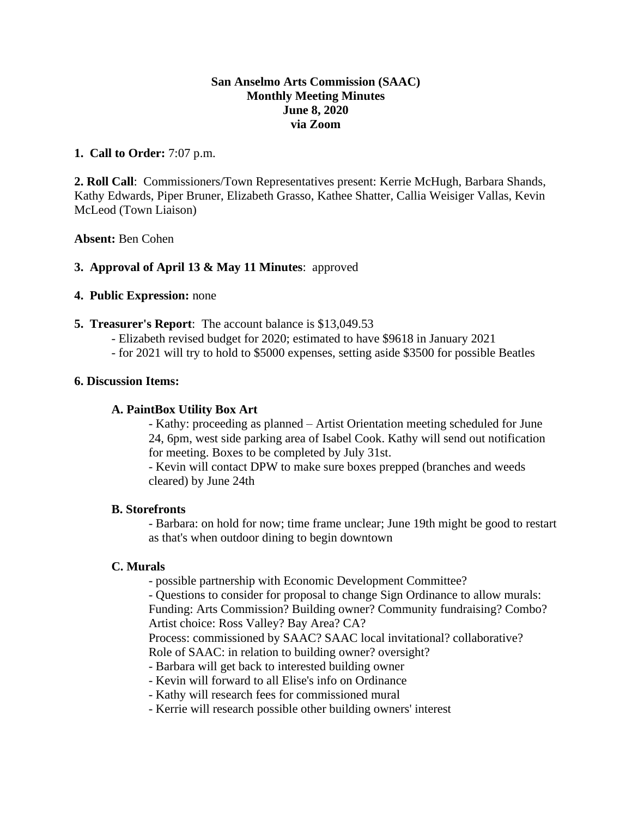## **San Anselmo Arts Commission (SAAC) Monthly Meeting Minutes June 8, 2020 via Zoom**

## **1. Call to Order:** 7:07 p.m.

**2. Roll Call**: Commissioners/Town Representatives present: Kerrie McHugh, Barbara Shands, Kathy Edwards, Piper Bruner, Elizabeth Grasso, Kathee Shatter, Callia Weisiger Vallas, Kevin McLeod (Town Liaison)

### **Absent:** Ben Cohen

## **3. Approval of April 13 & May 11 Minutes**: approved

## **4. Public Expression:** none

- **5. Treasurer's Report**: The account balance is \$13,049.53
	- Elizabeth revised budget for 2020; estimated to have \$9618 in January 2021
	- for 2021 will try to hold to \$5000 expenses, setting aside \$3500 for possible Beatles

### **6. Discussion Items:**

#### **A. PaintBox Utility Box Art**

- Kathy: proceeding as planned – Artist Orientation meeting scheduled for June 24, 6pm, west side parking area of Isabel Cook. Kathy will send out notification for meeting. Boxes to be completed by July 31st.

- Kevin will contact DPW to make sure boxes prepped (branches and weeds cleared) by June 24th

#### **B. Storefronts**

- Barbara: on hold for now; time frame unclear; June 19th might be good to restart as that's when outdoor dining to begin downtown

### **C. Murals**

- possible partnership with Economic Development Committee?

- Questions to consider for proposal to change Sign Ordinance to allow murals: Funding: Arts Commission? Building owner? Community fundraising? Combo? Artist choice: Ross Valley? Bay Area? CA?

Process: commissioned by SAAC? SAAC local invitational? collaborative? Role of SAAC: in relation to building owner? oversight?

- Barbara will get back to interested building owner
- Kevin will forward to all Elise's info on Ordinance
- Kathy will research fees for commissioned mural
- Kerrie will research possible other building owners' interest